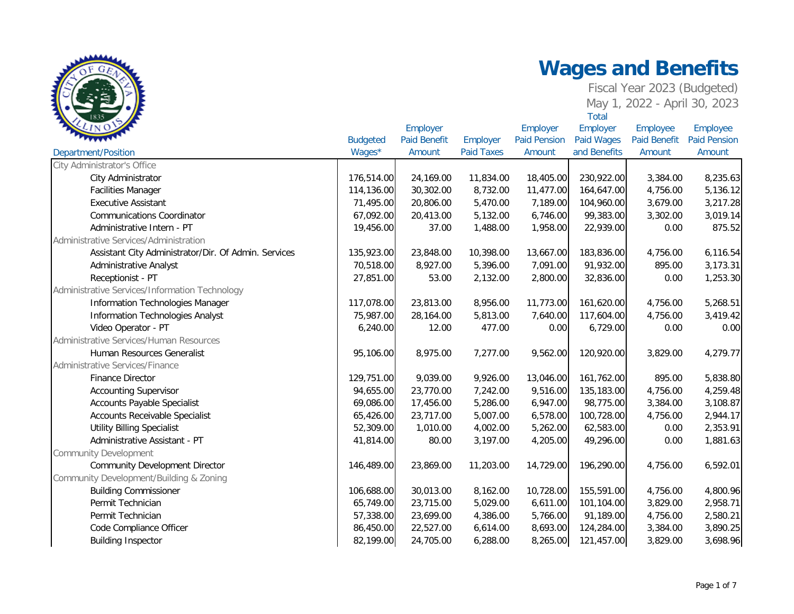|                                                      |                 | Employer            |                   | Employer            | Employer     | Employee            | Employee            |
|------------------------------------------------------|-----------------|---------------------|-------------------|---------------------|--------------|---------------------|---------------------|
|                                                      | <b>Budgeted</b> | <b>Paid Benefit</b> | Employer          | <b>Paid Pension</b> | Paid Wages   | <b>Paid Benefit</b> | <b>Paid Pension</b> |
| <b>Department/Position</b>                           | Wages*          | Amount              | <b>Paid Taxes</b> | Amount              | and Benefits | Amount              | Amount              |
| City Administrator's Office                          |                 |                     |                   |                     |              |                     |                     |
| City Administrator                                   | 176,514.00      | 24,169.00           | 11,834.00         | 18,405.00           | 230,922.00   | 3,384.00            | 8,235.63            |
| <b>Facilities Manager</b>                            | 114,136.00      | 30,302.00           | 8,732.00          | 11,477.00           | 164,647.00   | 4,756.00            | 5,136.12            |
| <b>Executive Assistant</b>                           | 71,495.00       | 20,806.00           | 5,470.00          | 7,189.00            | 104,960.00   | 3,679.00            | 3,217.28            |
| <b>Communications Coordinator</b>                    | 67,092.00       | 20,413.00           | 5,132.00          | 6,746.00            | 99,383.00    | 3,302.00            | 3,019.14            |
| Administrative Intern - PT                           | 19,456.00       | 37.00               | 1,488.00          | 1,958.00            | 22,939.00    | 0.00                | 875.52              |
| Administrative Services/Administration               |                 |                     |                   |                     |              |                     |                     |
| Assistant City Administrator/Dir. Of Admin. Services | 135,923.00      | 23,848.00           | 10,398.00         | 13,667.00           | 183,836.00   | 4,756.00            | 6,116.54            |
| Administrative Analyst                               | 70,518.00       | 8,927.00            | 5,396.00          | 7,091.00            | 91,932.00    | 895.00              | 3,173.31            |
| Receptionist - PT                                    | 27,851.00       | 53.00               | 2,132.00          | 2,800.00            | 32,836.00    | 0.00                | 1,253.30            |
| Administrative Services/Information Technology       |                 |                     |                   |                     |              |                     |                     |
| Information Technologies Manager                     | 117,078.00      | 23,813.00           | 8,956.00          | 11,773.00           | 161,620.00   | 4,756.00            | 5,268.51            |
| Information Technologies Analyst                     | 75,987.00       | 28,164.00           | 5,813.00          | 7,640.00            | 117,604.00   | 4,756.00            | 3,419.42            |
| Video Operator - PT                                  | 6,240.00        | 12.00               | 477.00            | 0.00                | 6,729.00     | 0.00                | 0.00                |
| Administrative Services/Human Resources              |                 |                     |                   |                     |              |                     |                     |
| Human Resources Generalist                           | 95,106.00       | 8,975.00            | 7,277.00          | 9,562.00            | 120,920.00   | 3,829.00            | 4,279.77            |
| Administrative Services/Finance                      |                 |                     |                   |                     |              |                     |                     |
| <b>Finance Director</b>                              | 129,751.00      | 9,039.00            | 9,926.00          | 13,046.00           | 161,762.00   | 895.00              | 5,838.80            |
| <b>Accounting Supervisor</b>                         | 94,655.00       | 23,770.00           | 7,242.00          | 9,516.00            | 135,183.00   | 4,756.00            | 4,259.48            |
| <b>Accounts Payable Specialist</b>                   | 69,086.00       | 17,456.00           | 5,286.00          | 6,947.00            | 98,775.00    | 3,384.00            | 3,108.87            |
| Accounts Receivable Specialist                       | 65,426.00       | 23,717.00           | 5,007.00          | 6,578.00            | 100,728.00   | 4,756.00            | 2,944.17            |
| <b>Utility Billing Specialist</b>                    | 52,309.00       | 1,010.00            | 4,002.00          | 5,262.00            | 62,583.00    | 0.00                | 2,353.91            |
| Administrative Assistant - PT                        | 41,814.00       | 80.00               | 3,197.00          | 4,205.00            | 49,296.00    | 0.00                | 1,881.63            |
| <b>Community Development</b>                         |                 |                     |                   |                     |              |                     |                     |
| <b>Community Development Director</b>                | 146,489.00      | 23,869.00           | 11,203.00         | 14,729.00           | 196,290.00   | 4,756.00            | 6,592.01            |
| Community Development/Building & Zoning              |                 |                     |                   |                     |              |                     |                     |
| <b>Building Commissioner</b>                         | 106,688.00      | 30,013.00           | 8,162.00          | 10,728.00           | 155,591.00   | 4,756.00            | 4,800.96            |
| Permit Technician                                    | 65,749.00       | 23,715.00           | 5,029.00          | 6,611.00            | 101,104.00   | 3,829.00            | 2,958.71            |
| Permit Technician                                    | 57,338.00       | 23,699.00           | 4,386.00          | 5,766.00            | 91,189.00    | 4,756.00            | 2,580.21            |
| Code Compliance Officer                              | 86,450.00       | 22,527.00           | 6,614.00          | 8,693.00            | 124,284.00   | 3,384.00            | 3,890.25            |
| <b>Building Inspector</b>                            | 82,199.00       | 24,705.00           | 6,288.00          | 8,265.00            | 121,457.00   | 3,829.00            | 3,698.96            |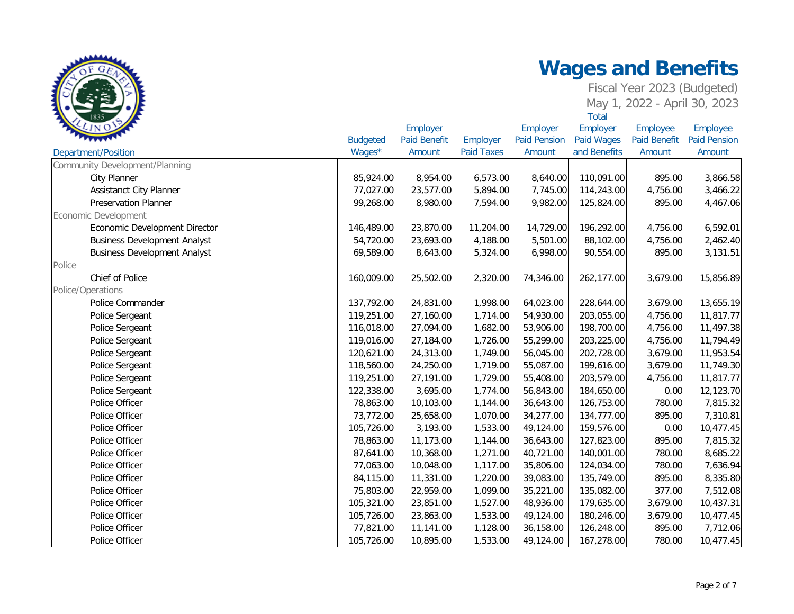| $\mathcal{L}$ in Q                  |                 | Employer            |                   | Employer            | Employer     | Employee            | Employee            |
|-------------------------------------|-----------------|---------------------|-------------------|---------------------|--------------|---------------------|---------------------|
|                                     | <b>Budgeted</b> | <b>Paid Benefit</b> | Employer          | <b>Paid Pension</b> | Paid Wages   | <b>Paid Benefit</b> | <b>Paid Pension</b> |
| Department/Position                 | Wages*          | Amount              | <b>Paid Taxes</b> | Amount              | and Benefits | Amount              | Amount              |
| Community Development/Planning      |                 |                     |                   |                     |              |                     |                     |
| <b>City Planner</b>                 | 85,924.00       | 8,954.00            | 6,573.00          | 8,640.00            | 110,091.00   | 895.00              | 3,866.58            |
| <b>Assistanct City Planner</b>      | 77,027.00       | 23,577.00           | 5,894.00          | 7,745.00            | 114,243.00   | 4,756.00            | 3,466.22            |
| <b>Preservation Planner</b>         | 99,268.00       | 8,980.00            | 7,594.00          | 9,982.00            | 125,824.00   | 895.00              | 4,467.06            |
| Economic Development                |                 |                     |                   |                     |              |                     |                     |
| Economic Development Director       | 146,489.00      | 23,870.00           | 11,204.00         | 14,729.00           | 196,292.00   | 4,756.00            | 6,592.01            |
| <b>Business Development Analyst</b> | 54,720.00       | 23,693.00           | 4,188.00          | 5,501.00            | 88,102.00    | 4,756.00            | 2,462.40            |
| <b>Business Development Analyst</b> | 69,589.00       | 8,643.00            | 5,324.00          | 6,998.00            | 90,554.00    | 895.00              | 3,131.51            |
| Police                              |                 |                     |                   |                     |              |                     |                     |
| Chief of Police                     | 160,009.00      | 25,502.00           | 2,320.00          | 74,346.00           | 262,177.00   | 3,679.00            | 15,856.89           |
| Police/Operations                   |                 |                     |                   |                     |              |                     |                     |
| Police Commander                    | 137,792.00      | 24,831.00           | 1,998.00          | 64,023.00           | 228,644.00   | 3,679.00            | 13,655.19           |
| Police Sergeant                     | 119,251.00      | 27,160.00           | 1,714.00          | 54,930.00           | 203,055.00   | 4,756.00            | 11,817.77           |
| Police Sergeant                     | 116,018.00      | 27,094.00           | 1,682.00          | 53,906.00           | 198,700.00   | 4,756.00            | 11,497.38           |
| Police Sergeant                     | 119,016.00      | 27,184.00           | 1,726.00          | 55,299.00           | 203,225.00   | 4,756.00            | 11,794.49           |
| Police Sergeant                     | 120,621.00      | 24,313.00           | 1,749.00          | 56,045.00           | 202,728.00   | 3,679.00            | 11,953.54           |
| Police Sergeant                     | 118,560.00      | 24,250.00           | 1,719.00          | 55,087.00           | 199,616.00   | 3,679.00            | 11,749.30           |
| Police Sergeant                     | 119,251.00      | 27,191.00           | 1,729.00          | 55,408.00           | 203,579.00   | 4,756.00            | 11,817.77           |
| Police Sergeant                     | 122,338.00      | 3,695.00            | 1,774.00          | 56,843.00           | 184,650.00   | 0.00                | 12,123.70           |
| Police Officer                      | 78,863.00       | 10,103.00           | 1,144.00          | 36,643.00           | 126,753.00   | 780.00              | 7,815.32            |
| Police Officer                      | 73,772.00       | 25,658.00           | 1,070.00          | 34,277.00           | 134,777.00   | 895.00              | 7,310.81            |
| Police Officer                      | 105,726.00      | 3,193.00            | 1,533.00          | 49,124.00           | 159,576.00   | 0.00                | 10,477.45           |
| Police Officer                      | 78,863.00       | 11,173.00           | 1,144.00          | 36,643.00           | 127,823.00   | 895.00              | 7,815.32            |
| Police Officer                      | 87,641.00       | 10,368.00           | 1,271.00          | 40,721.00           | 140,001.00   | 780.00              | 8,685.22            |
| Police Officer                      | 77,063.00       | 10,048.00           | 1,117.00          | 35,806.00           | 124,034.00   | 780.00              | 7,636.94            |
| Police Officer                      | 84,115.00       | 11,331.00           | 1,220.00          | 39,083.00           | 135,749.00   | 895.00              | 8,335.80            |
| Police Officer                      | 75,803.00       | 22,959.00           | 1,099.00          | 35,221.00           | 135,082.00   | 377.00              | 7,512.08            |
| Police Officer                      | 105,321.00      | 23,851.00           | 1,527.00          | 48,936.00           | 179,635.00   | 3,679.00            | 10,437.31           |
| Police Officer                      | 105,726.00      | 23,863.00           | 1,533.00          | 49,124.00           | 180,246.00   | 3,679.00            | 10,477.45           |
| Police Officer                      | 77,821.00       | 11,141.00           | 1,128.00          | 36,158.00           | 126,248.00   | 895.00              | 7,712.06            |
| Police Officer                      | 105,726.00      | 10,895.00           | 1,533.00          | 49,124.00           | 167,278.00   | 780.00              | 10,477.45           |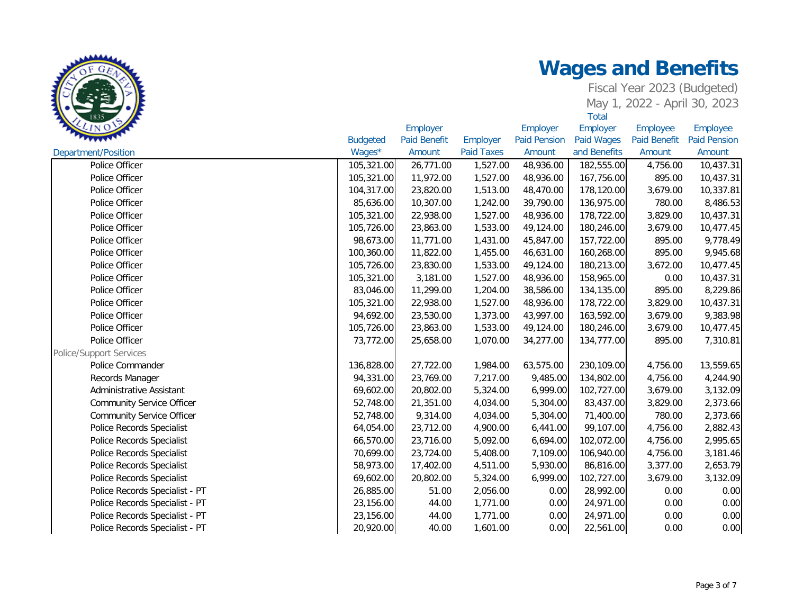| <b>LINO</b>                      |                 | Employer            |                   | Employer            | Employer     | Employee     | Employee            |
|----------------------------------|-----------------|---------------------|-------------------|---------------------|--------------|--------------|---------------------|
|                                  | <b>Budgeted</b> | <b>Paid Benefit</b> | Employer          | <b>Paid Pension</b> | Paid Wages   | Paid Benefit | <b>Paid Pension</b> |
| Department/Position              | Wages*          | Amount              | <b>Paid Taxes</b> | Amount              | and Benefits | Amount       | Amount              |
| Police Officer                   | 105,321.00      | 26,771.00           | 1,527.00          | 48,936.00           | 182,555.00   | 4,756.00     | 10,437.31           |
| Police Officer                   | 105,321.00      | 11,972.00           | 1,527.00          | 48,936.00           | 167,756.00   | 895.00       | 10,437.31           |
| Police Officer                   | 104,317.00      | 23,820.00           | 1,513.00          | 48,470.00           | 178,120.00   | 3,679.00     | 10,337.81           |
| Police Officer                   | 85,636.00       | 10,307.00           | 1,242.00          | 39,790.00           | 136,975.00   | 780.00       | 8,486.53            |
| Police Officer                   | 105,321.00      | 22,938.00           | 1,527.00          | 48,936.00           | 178,722.00   | 3,829.00     | 10,437.31           |
| Police Officer                   | 105,726.00      | 23,863.00           | 1,533.00          | 49,124.00           | 180,246.00   | 3,679.00     | 10,477.45           |
| Police Officer                   | 98,673.00       | 11,771.00           | 1,431.00          | 45,847.00           | 157,722.00   | 895.00       | 9,778.49            |
| Police Officer                   | 100,360.00      | 11,822.00           | 1,455.00          | 46,631.00           | 160,268.00   | 895.00       | 9,945.68            |
| Police Officer                   | 105,726.00      | 23,830.00           | 1,533.00          | 49,124.00           | 180,213.00   | 3,672.00     | 10,477.45           |
| Police Officer                   | 105,321.00      | 3,181.00            | 1,527.00          | 48,936.00           | 158,965.00   | 0.00         | 10,437.31           |
| Police Officer                   | 83,046.00       | 11,299.00           | 1,204.00          | 38,586.00           | 134,135.00   | 895.00       | 8,229.86            |
| Police Officer                   | 105,321.00      | 22,938.00           | 1,527.00          | 48,936.00           | 178,722.00   | 3,829.00     | 10,437.31           |
| Police Officer                   | 94,692.00       | 23,530.00           | 1,373.00          | 43,997.00           | 163,592.00   | 3,679.00     | 9,383.98            |
| Police Officer                   | 105,726.00      | 23,863.00           | 1,533.00          | 49,124.00           | 180,246.00   | 3,679.00     | 10,477.45           |
| Police Officer                   | 73,772.00       | 25,658.00           | 1,070.00          | 34,277.00           | 134,777.00   | 895.00       | 7,310.81            |
| <b>Police/Support Services</b>   |                 |                     |                   |                     |              |              |                     |
| Police Commander                 | 136,828.00      | 27,722.00           | 1,984.00          | 63,575.00           | 230,109.00   | 4,756.00     | 13,559.65           |
| Records Manager                  | 94,331.00       | 23,769.00           | 7,217.00          | 9,485.00            | 134,802.00   | 4,756.00     | 4,244.90            |
| Administrative Assistant         | 69,602.00       | 20,802.00           | 5,324.00          | 6,999.00            | 102,727.00   | 3,679.00     | 3,132.09            |
| <b>Community Service Officer</b> | 52,748.00       | 21,351.00           | 4,034.00          | 5,304.00            | 83,437.00    | 3,829.00     | 2,373.66            |
| <b>Community Service Officer</b> | 52,748.00       | 9,314.00            | 4,034.00          | 5,304.00            | 71,400.00    | 780.00       | 2,373.66            |
| Police Records Specialist        | 64,054.00       | 23,712.00           | 4,900.00          | 6,441.00            | 99,107.00    | 4,756.00     | 2,882.43            |
| Police Records Specialist        | 66,570.00       | 23,716.00           | 5,092.00          | 6,694.00            | 102,072.00   | 4,756.00     | 2,995.65            |
| Police Records Specialist        | 70,699.00       | 23,724.00           | 5,408.00          | 7,109.00            | 106,940.00   | 4,756.00     | 3,181.46            |
| Police Records Specialist        | 58,973.00       | 17,402.00           | 4,511.00          | 5,930.00            | 86,816.00    | 3,377.00     | 2,653.79            |
| Police Records Specialist        | 69,602.00       | 20,802.00           | 5,324.00          | 6,999.00            | 102,727.00   | 3,679.00     | 3,132.09            |
| Police Records Specialist - PT   | 26,885.00       | 51.00               | 2,056.00          | 0.00                | 28,992.00    | 0.00         | 0.00                |
| Police Records Specialist - PT   | 23,156.00       | 44.00               | 1,771.00          | 0.00                | 24,971.00    | 0.00         | 0.00                |
| Police Records Specialist - PT   | 23,156.00       | 44.00               | 1,771.00          | 0.00                | 24,971.00    | 0.00         | 0.00                |
| Police Records Specialist - PT   | 20,920.00       | 40.00               | 1,601.00          | 0.00                | 22,561.00    | 0.00         | 0.00                |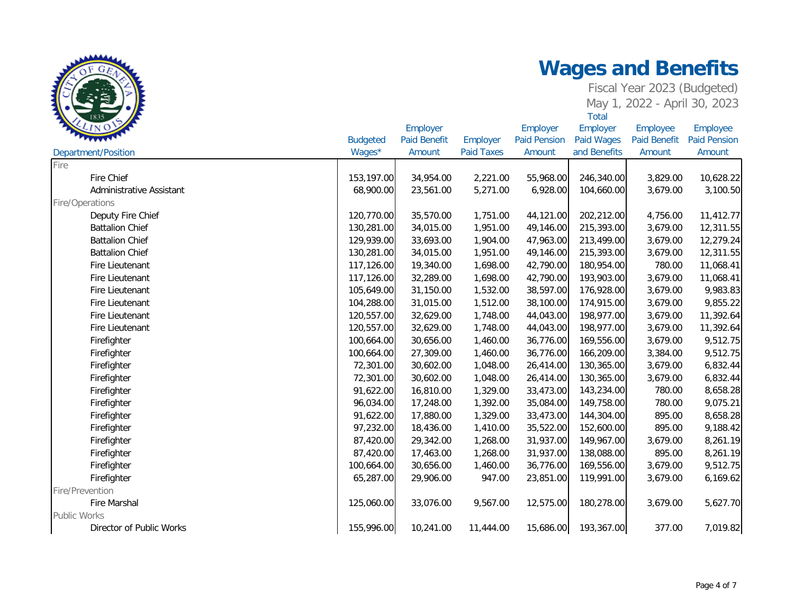| LINO                     | <b>Budgeted</b> | Employer<br><b>Paid Benefit</b> | Employer          | Employer<br><b>Paid Pension</b> | Employer<br>Paid Wages | Employee<br><b>Paid Benefit</b> | Employee<br><b>Paid Pension</b> |
|--------------------------|-----------------|---------------------------------|-------------------|---------------------------------|------------------------|---------------------------------|---------------------------------|
| Department/Position      | Wages*          | Amount                          | <b>Paid Taxes</b> | Amount                          | and Benefits           | Amount                          | Amount                          |
| Fire                     |                 |                                 |                   |                                 |                        |                                 |                                 |
| Fire Chief               | 153,197.00      | 34,954.00                       | 2,221.00          | 55,968.00                       | 246,340.00             | 3,829.00                        | 10,628.22                       |
| Administrative Assistant | 68,900.00       | 23,561.00                       | 5,271.00          | 6,928.00                        | 104,660.00             | 3,679.00                        | 3,100.50                        |
| Fire/Operations          |                 |                                 |                   |                                 |                        |                                 |                                 |
| Deputy Fire Chief        | 120,770.00      | 35,570.00                       | 1,751.00          | 44,121.00                       | 202,212.00             | 4,756.00                        | 11,412.77                       |
| <b>Battalion Chief</b>   | 130,281.00      | 34,015.00                       | 1,951.00          | 49,146.00                       | 215,393.00             | 3,679.00                        | 12,311.55                       |
| <b>Battalion Chief</b>   | 129,939.00      | 33,693.00                       | 1,904.00          | 47,963.00                       | 213,499.00             | 3,679.00                        | 12,279.24                       |
| <b>Battalion Chief</b>   | 130,281.00      | 34,015.00                       | 1,951.00          | 49,146.00                       | 215,393.00             | 3,679.00                        | 12,311.55                       |
| Fire Lieutenant          | 117,126.00      | 19,340.00                       | 1,698.00          | 42,790.00                       | 180,954.00             | 780.00                          | 11,068.41                       |
| Fire Lieutenant          | 117,126.00      | 32,289.00                       | 1,698.00          | 42,790.00                       | 193,903.00             | 3,679.00                        | 11,068.41                       |
| Fire Lieutenant          | 105,649.00      | 31,150.00                       | 1,532.00          | 38,597.00                       | 176,928.00             | 3,679.00                        | 9,983.83                        |
| Fire Lieutenant          | 104,288.00      | 31,015.00                       | 1,512.00          | 38,100.00                       | 174,915.00             | 3,679.00                        | 9,855.22                        |
| Fire Lieutenant          | 120,557.00      | 32,629.00                       | 1,748.00          | 44,043.00                       | 198,977.00             | 3,679.00                        | 11,392.64                       |
| Fire Lieutenant          | 120,557.00      | 32,629.00                       | 1,748.00          | 44,043.00                       | 198,977.00             | 3,679.00                        | 11,392.64                       |
| Firefighter              | 100,664.00      | 30,656.00                       | 1,460.00          | 36,776.00                       | 169,556.00             | 3,679.00                        | 9,512.75                        |
| Firefighter              | 100,664.00      | 27,309.00                       | 1,460.00          | 36,776.00                       | 166,209.00             | 3,384.00                        | 9,512.75                        |
| Firefighter              | 72,301.00       | 30,602.00                       | 1,048.00          | 26,414.00                       | 130,365.00             | 3,679.00                        | 6,832.44                        |
| Firefighter              | 72,301.00       | 30,602.00                       | 1,048.00          | 26,414.00                       | 130,365.00             | 3,679.00                        | 6,832.44                        |
| Firefighter              | 91,622.00       | 16,810.00                       | 1,329.00          | 33,473.00                       | 143,234.00             | 780.00                          | 8,658.28                        |
| Firefighter              | 96,034.00       | 17,248.00                       | 1,392.00          | 35,084.00                       | 149,758.00             | 780.00                          | 9,075.21                        |
| Firefighter              | 91,622.00       | 17,880.00                       | 1,329.00          | 33,473.00                       | 144,304.00             | 895.00                          | 8,658.28                        |
| Firefighter              | 97,232.00       | 18,436.00                       | 1,410.00          | 35,522.00                       | 152,600.00             | 895.00                          | 9,188.42                        |
| Firefighter              | 87,420.00       | 29,342.00                       | 1,268.00          | 31,937.00                       | 149,967.00             | 3,679.00                        | 8,261.19                        |
| Firefighter              | 87,420.00       | 17,463.00                       | 1,268.00          | 31,937.00                       | 138,088.00             | 895.00                          | 8,261.19                        |
| Firefighter              | 100,664.00      | 30,656.00                       | 1,460.00          | 36,776.00                       | 169,556.00             | 3,679.00                        | 9,512.75                        |
| Firefighter              | 65,287.00       | 29,906.00                       | 947.00            | 23,851.00                       | 119,991.00             | 3,679.00                        | 6,169.62                        |
| Fire/Prevention          |                 |                                 |                   |                                 |                        |                                 |                                 |
| Fire Marshal             | 125,060.00      | 33,076.00                       | 9,567.00          | 12,575.00                       | 180,278.00             | 3,679.00                        | 5,627.70                        |
| <b>Public Works</b>      |                 |                                 |                   |                                 |                        |                                 |                                 |
| Director of Public Works | 155,996.00      | 10,241.00                       | 11,444.00         | 15,686.00                       | 193,367.00             | 377.00                          | 7,019.82                        |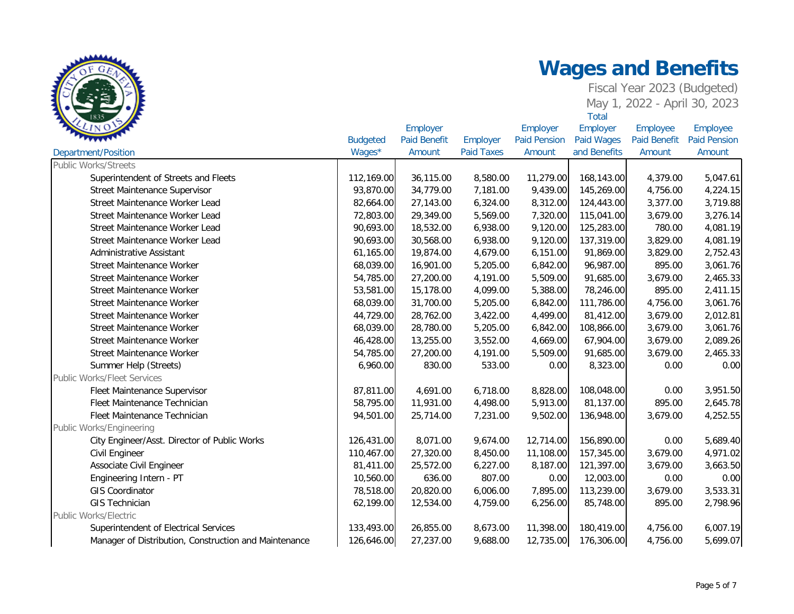| LIN O                                                 |                 | Employer            |                   |                     | Employer          | Employee            | Employee            |
|-------------------------------------------------------|-----------------|---------------------|-------------------|---------------------|-------------------|---------------------|---------------------|
|                                                       | <b>Budgeted</b> | <b>Paid Benefit</b> | Employer          | <b>Paid Pension</b> | <b>Paid Wages</b> | <b>Paid Benefit</b> | <b>Paid Pension</b> |
| Department/Position                                   | Wages*          | Amount              | <b>Paid Taxes</b> | Amount              | and Benefits      | Amount              | Amount              |
| <b>Public Works/Streets</b>                           |                 |                     |                   |                     |                   |                     |                     |
| Superintendent of Streets and Fleets                  | 112,169.00      | 36,115.00           | 8,580.00          | 11,279.00           | 168,143.00        | 4,379.00            | 5,047.61            |
| Street Maintenance Supervisor                         | 93,870.00       | 34,779.00           | 7,181.00          | 9,439.00            | 145,269.00        | 4,756.00            | 4,224.15            |
| Street Maintenance Worker Lead                        | 82,664.00       | 27,143.00           | 6,324.00          | 8,312.00            | 124,443.00        | 3,377.00            | 3,719.88            |
| Street Maintenance Worker Lead                        | 72,803.00       | 29,349.00           | 5,569.00          | 7,320.00            | 115,041.00        | 3,679.00            | 3,276.14            |
| Street Maintenance Worker Lead                        | 90,693.00       | 18,532.00           | 6,938.00          | 9,120.00            | 125,283.00        | 780.00              | 4,081.19            |
| Street Maintenance Worker Lead                        | 90,693.00       | 30,568.00           | 6,938.00          | 9,120.00            | 137,319.00        | 3,829.00            | 4,081.19            |
| Administrative Assistant                              | 61,165.00       | 19,874.00           | 4,679.00          | 6,151.00            | 91,869.00         | 3,829.00            | 2,752.43            |
| Street Maintenance Worker                             | 68,039.00       | 16,901.00           | 5,205.00          | 6,842.00            | 96,987.00         | 895.00              | 3,061.76            |
| Street Maintenance Worker                             | 54,785.00       | 27,200.00           | 4,191.00          | 5,509.00            | 91,685.00         | 3,679.00            | 2,465.33            |
| <b>Street Maintenance Worker</b>                      | 53,581.00       | 15,178.00           | 4,099.00          | 5,388.00            | 78,246.00         | 895.00              | 2,411.15            |
| Street Maintenance Worker                             | 68,039.00       | 31,700.00           | 5,205.00          | 6,842.00            | 111,786.00        | 4,756.00            | 3,061.76            |
| Street Maintenance Worker                             | 44,729.00       | 28,762.00           | 3,422.00          | 4,499.00            | 81,412.00         | 3,679.00            | 2,012.81            |
| Street Maintenance Worker                             | 68,039.00       | 28,780.00           | 5,205.00          | 6,842.00            | 108,866.00        | 3,679.00            | 3,061.76            |
| Street Maintenance Worker                             | 46,428.00       | 13,255.00           | 3,552.00          | 4,669.00            | 67,904.00         | 3,679.00            | 2,089.26            |
| Street Maintenance Worker                             | 54,785.00       | 27,200.00           | 4,191.00          | 5,509.00            | 91,685.00         | 3,679.00            | 2,465.33            |
| Summer Help (Streets)                                 | 6,960.00        | 830.00              | 533.00            | 0.00                | 8,323.00          | 0.00                | 0.00                |
| <b>Public Works/Fleet Services</b>                    |                 |                     |                   |                     |                   |                     |                     |
| Fleet Maintenance Supervisor                          | 87,811.00       | 4,691.00            | 6,718.00          | 8,828.00            | 108,048.00        | 0.00                | 3,951.50            |
| Fleet Maintenance Technician                          | 58,795.00       | 11,931.00           | 4,498.00          | 5,913.00            | 81,137.00         | 895.00              | 2,645.78            |
| Fleet Maintenance Technician                          | 94,501.00       | 25,714.00           | 7,231.00          | 9,502.00            | 136,948.00        | 3,679.00            | 4,252.55            |
| Public Works/Engineering                              |                 |                     |                   |                     |                   |                     |                     |
| City Engineer/Asst. Director of Public Works          | 126,431.00      | 8,071.00            | 9,674.00          | 12,714.00           | 156,890.00        | 0.00                | 5,689.40            |
| Civil Engineer                                        | 110,467.00      | 27,320.00           | 8,450.00          | 11,108.00           | 157,345.00        | 3,679.00            | 4,971.02            |
| Associate Civil Engineer                              | 81,411.00       | 25,572.00           | 6,227.00          | 8,187.00            | 121,397.00        | 3,679.00            | 3,663.50            |
| Engineering Intern - PT                               | 10,560.00       | 636.00              | 807.00            | 0.00                | 12,003.00         | 0.00                | 0.00                |
| <b>GIS Coordinator</b>                                | 78,518.00       | 20,820.00           | 6,006.00          | 7,895.00            | 113,239.00        | 3,679.00            | 3,533.31            |
| <b>GIS Technician</b>                                 | 62,199.00       | 12,534.00           | 4,759.00          | 6,256.00            | 85,748.00         | 895.00              | 2,798.96            |
| Public Works/Electric                                 |                 |                     |                   |                     |                   |                     |                     |
| Superintendent of Electrical Services                 | 133,493.00      | 26,855.00           | 8,673.00          | 11,398.00           | 180,419.00        | 4,756.00            | 6,007.19            |
| Manager of Distribution, Construction and Maintenance | 126,646.00      | 27,237.00           | 9,688.00          | 12,735.00           | 176,306.00        | 4,756.00            | 5,699.07            |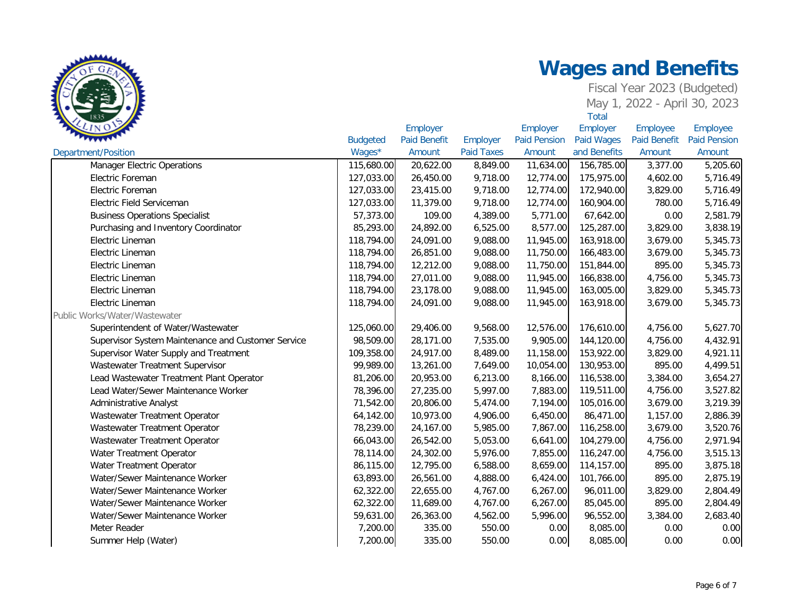

|                                                    |                 | Employer            |                   | Employer            | Employer          | Employee            | Employee            |
|----------------------------------------------------|-----------------|---------------------|-------------------|---------------------|-------------------|---------------------|---------------------|
|                                                    | <b>Budgeted</b> | <b>Paid Benefit</b> | Employer          | <b>Paid Pension</b> | <b>Paid Wages</b> | <b>Paid Benefit</b> | <b>Paid Pension</b> |
| <b>Department/Position</b>                         | Wages*          | Amount              | <b>Paid Taxes</b> | Amount              | and Benefits      | Amount              | Amount              |
| <b>Manager Electric Operations</b>                 | 115,680.00      | 20,622.00           | 8,849.00          | 11,634.00           | 156,785.00        | 3,377.00            | 5,205.60            |
| Electric Foreman                                   | 127,033.00      | 26,450.00           | 9,718.00          | 12,774.00           | 175,975.00        | 4,602.00            | 5,716.49            |
| Electric Foreman                                   | 127,033.00      | 23,415.00           | 9,718.00          | 12,774.00           | 172,940.00        | 3,829.00            | 5,716.49            |
| Electric Field Serviceman                          | 127,033.00      | 11,379.00           | 9,718.00          | 12,774.00           | 160,904.00        | 780.00              | 5,716.49            |
| <b>Business Operations Specialist</b>              | 57,373.00       | 109.00              | 4,389.00          | 5,771.00            | 67,642.00         | 0.00                | 2,581.79            |
| Purchasing and Inventory Coordinator               | 85,293.00       | 24,892.00           | 6,525.00          | 8,577.00            | 125,287.00        | 3,829.00            | 3,838.19            |
| Electric Lineman                                   | 118,794.00      | 24,091.00           | 9,088.00          | 11,945.00           | 163,918.00        | 3,679.00            | 5,345.73            |
| Electric Lineman                                   | 118,794.00      | 26,851.00           | 9,088.00          | 11,750.00           | 166,483.00        | 3,679.00            | 5,345.73            |
| Electric Lineman                                   | 118,794.00      | 12,212.00           | 9,088.00          | 11,750.00           | 151,844.00        | 895.00              | 5,345.73            |
| Electric Lineman                                   | 118,794.00      | 27,011.00           | 9,088.00          | 11,945.00           | 166,838.00        | 4,756.00            | 5,345.73            |
| Electric Lineman                                   | 118,794.00      | 23,178.00           | 9,088.00          | 11,945.00           | 163,005.00        | 3,829.00            | 5,345.73            |
| Electric Lineman                                   | 118,794.00      | 24,091.00           | 9,088.00          | 11,945.00           | 163,918.00        | 3,679.00            | 5,345.73            |
| Public Works/Water/Wastewater                      |                 |                     |                   |                     |                   |                     |                     |
| Superintendent of Water/Wastewater                 | 125,060.00      | 29,406.00           | 9,568.00          | 12,576.00           | 176,610.00        | 4,756.00            | 5,627.70            |
| Supervisor System Maintenance and Customer Service | 98,509.00       | 28,171.00           | 7,535.00          | 9,905.00            | 144,120.00        | 4,756.00            | 4,432.91            |
| Supervisor Water Supply and Treatment              | 109,358.00      | 24,917.00           | 8,489.00          | 11,158.00           | 153,922.00        | 3,829.00            | 4,921.11            |
| Wastewater Treatment Supervisor                    | 99,989.00       | 13,261.00           | 7,649.00          | 10,054.00           | 130,953.00        | 895.00              | 4,499.51            |
| Lead Wastewater Treatment Plant Operator           | 81,206.00       | 20,953.00           | 6,213.00          | 8,166.00            | 116,538.00        | 3,384.00            | 3,654.27            |
| Lead Water/Sewer Maintenance Worker                | 78,396.00       | 27,235.00           | 5,997.00          | 7,883.00            | 119,511.00        | 4,756.00            | 3,527.82            |
| Administrative Analyst                             | 71,542.00       | 20,806.00           | 5,474.00          | 7,194.00            | 105,016.00        | 3,679.00            | 3,219.39            |
| Wastewater Treatment Operator                      | 64,142.00       | 10,973.00           | 4,906.00          | 6,450.00            | 86,471.00         | 1,157.00            | 2,886.39            |
| Wastewater Treatment Operator                      | 78,239.00       | 24,167.00           | 5,985.00          | 7,867.00            | 116,258.00        | 3,679.00            | 3,520.76            |
| Wastewater Treatment Operator                      | 66,043.00       | 26,542.00           | 5,053.00          | 6,641.00            | 104,279.00        | 4,756.00            | 2,971.94            |
| Water Treatment Operator                           | 78,114.00       | 24,302.00           | 5,976.00          | 7,855.00            | 116,247.00        | 4,756.00            | 3,515.13            |
| Water Treatment Operator                           | 86,115.00       | 12,795.00           | 6,588.00          | 8,659.00            | 114,157.00        | 895.00              | 3,875.18            |
| Water/Sewer Maintenance Worker                     | 63,893.00       | 26,561.00           | 4,888.00          | 6,424.00            | 101,766.00        | 895.00              | 2,875.19            |
| Water/Sewer Maintenance Worker                     | 62,322.00       | 22,655.00           | 4,767.00          | 6,267.00            | 96,011.00         | 3,829.00            | 2,804.49            |
| Water/Sewer Maintenance Worker                     | 62,322.00       | 11,689.00           | 4,767.00          | 6,267.00            | 85,045.00         | 895.00              | 2,804.49            |
| Water/Sewer Maintenance Worker                     | 59,631.00       | 26,363.00           | 4,562.00          | 5,996.00            | 96,552.00         | 3,384.00            | 2,683.40            |
| Meter Reader                                       | 7,200.00        | 335.00              | 550.00            | 0.00                | 8,085.00          | 0.00                | 0.00                |
| Summer Help (Water)                                | 7,200.00        | 335.00              | 550.00            | 0.00                | 8,085.00          | 0.00                | 0.00                |